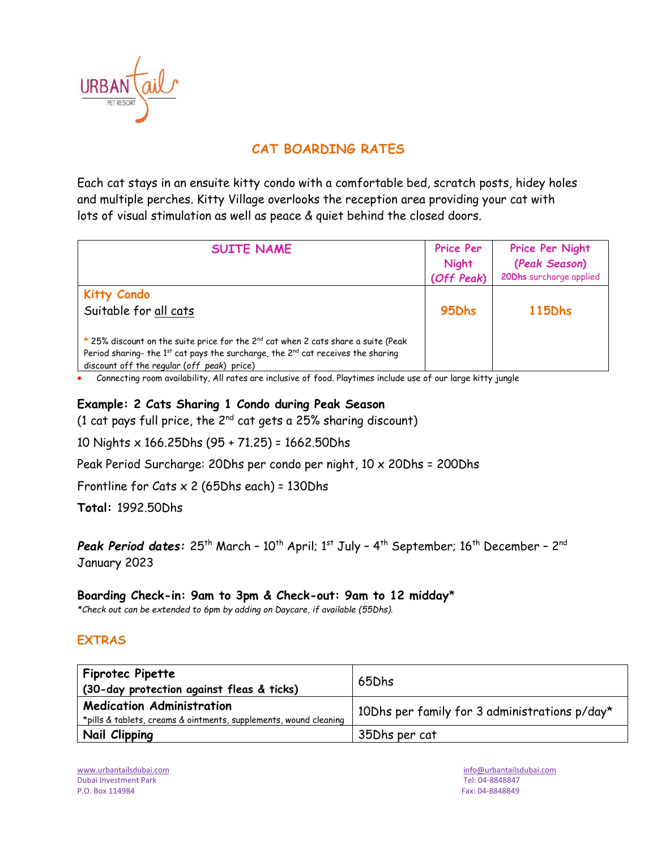

# **CAT BOARDING RATES**

Each cat stays in an ensuite kitty condo with a comfortable bed, scratch posts, hidey holes and multiple perches. Kitty Village overlooks the reception area providing your cat with lots of visual stimulation as well as peace & quiet behind the closed doors.

| <b>SUITE NAME</b>                                                                                                                                                                                                                         | Price Per<br><b>Night</b><br>(Off Peak) | Price Per Night<br>(Peak Season)<br>20Dhs surcharge applied |
|-------------------------------------------------------------------------------------------------------------------------------------------------------------------------------------------------------------------------------------------|-----------------------------------------|-------------------------------------------------------------|
| <b>Kitty Condo</b><br>Suitable for all cats                                                                                                                                                                                               | 95 <sub>Dhs</sub>                       | <b>115Dhs</b>                                               |
| * 25% discount on the suite price for the 2 <sup>nd</sup> cat when 2 cats share a suite (Peak<br>Period sharing- the $1^{st}$ cat pays the surcharge, the $2^{nd}$ cat receives the sharing<br>discount off the regular (off peak) price) |                                         |                                                             |

• Connecting room availability, All rates are inclusive of food. Playtimes include use of our large kitty jungle

### **Example: 2 Cats Sharing 1 Condo during Peak Season**

(1 cat pays full price, the  $2^{nd}$  cat gets a 25% sharing discount)

10 Nights x 166.25Dhs (95 + 71.25) = 1662.50Dhs

Peak Period Surcharge: 20Dhs per condo per night, 10 x 20Dhs = 200Dhs

Frontline for Cats  $\times$  2 (65Dhs each) = 130Dhs

**Total:** 1992.50Dhs

**Peak Period dates:** 25<sup>th</sup> March - 10<sup>th</sup> April; 1<sup>st</sup> July - 4<sup>th</sup> September; 16<sup>th</sup> December - 2<sup>nd</sup> January 2023

### **Boarding Check-in: 9am to 3pm & Check-out: 9am to 12 midday**\*

*\*Check out can be extended to 6pm by adding on Daycare, if available (55Dhs).*

### **EXTRAS**

| <b>Fiprotec Pipette</b><br>(30-day protection against fleas & ticks)                                  | 65Dhs                                         |
|-------------------------------------------------------------------------------------------------------|-----------------------------------------------|
| <b>Medication Administration</b><br>*pills & tablets, creams & ointments, supplements, wound cleaning | 10Dhs per family for 3 administrations p/day* |
| Nail Clipping                                                                                         | 35Dhs per cat                                 |